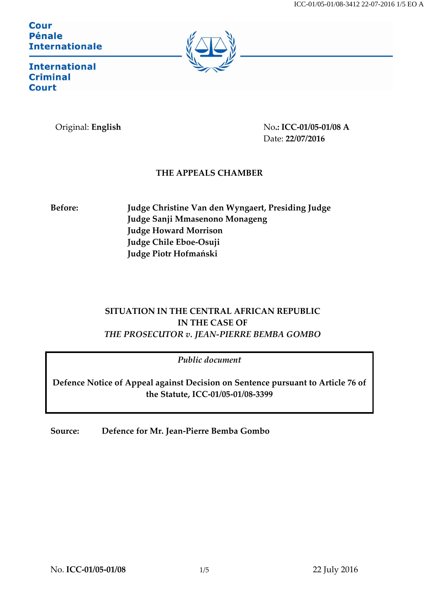Cour **Pénale Internationale** 



**International Criminal Court** 

Original: **English** No**.: ICC-01/05-01/08 A** Date: **22/07/2016**

## **THE APPEALS CHAMBER**

**Before: Judge Christine Van den Wyngaert, Presiding Judge Judge Sanji Mmasenono Monageng Judge Howard Morrison Judge Chile Eboe-Osuji Judge Piotr Hofmański**

# **SITUATION IN THE CENTRAL AFRICAN REPUBLIC IN THE CASE OF** *THE PROSECUTOR v. JEAN-PIERRE BEMBA GOMBO*

*Public document*

**Defence Notice of Appeal against Decision on Sentence pursuant to Article 76 of the Statute, ICC-01/05-01/08-3399**

**Source: Defence for Mr. Jean-Pierre Bemba Gombo**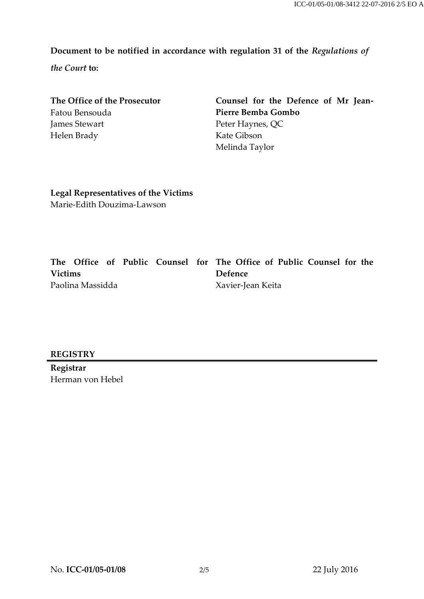## **Document to be notified in accordance with regulation 31 of the** *Regulations of*

*the Court* **to:**

| Counsel for the Defence of Mr Jean- |
|-------------------------------------|
| Pierre Bemba Gombo                  |
| Peter Haynes, QC                    |
| Kate Gibson                         |
| Melinda Taylor                      |
|                                     |

**Legal Representatives of the Victims** Marie-Edith Douzima-Lawson

|                  |  |  |  |  |                   | The Office of Public Counsel for The Office of Public Counsel for the |
|------------------|--|--|--|--|-------------------|-----------------------------------------------------------------------|
| <b>Victims</b>   |  |  |  |  | Defence           |                                                                       |
| Paolina Massidda |  |  |  |  | Xavier-Jean Keita |                                                                       |

### **REGISTRY**

**Registrar** Herman von Hebel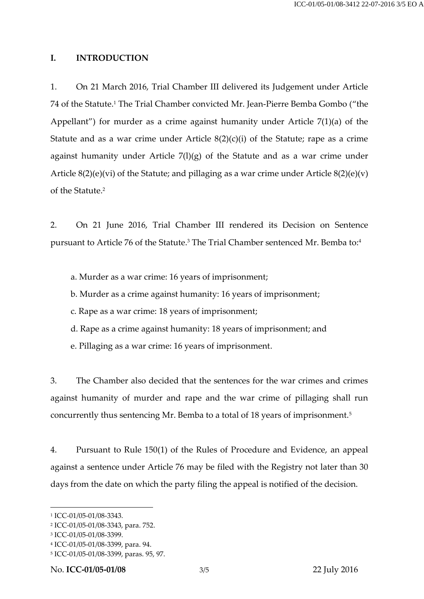#### **I. INTRODUCTION**

1. On 21 March 2016, Trial Chamber III delivered its Judgement under Article 74 of the Statute.<sup>1</sup> The Trial Chamber convicted Mr. Jean-Pierre Bemba Gombo ("the Appellant") for murder as a crime against humanity under Article 7(1)(a) of the Statute and as a war crime under Article  $8(2)(c)(i)$  of the Statute; rape as a crime against humanity under Article  $7(1)(g)$  of the Statute and as a war crime under Article  $8(2)(e)(vi)$  of the Statute; and pillaging as a war crime under Article  $8(2)(e)(v)$ of the Statute.<sup>2</sup>

2. On 21 June 2016, Trial Chamber III rendered its Decision on Sentence pursuant to Article 76 of the Statute.<sup>3</sup> The Trial Chamber sentenced Mr. Bemba to:<sup>4</sup>

- a. Murder as a war crime: 16 years of imprisonment;
- b. Murder as a crime against humanity: 16 years of imprisonment;
- c. Rape as a war crime: 18 years of imprisonment;
- d. Rape as a crime against humanity: 18 years of imprisonment; and
- e. Pillaging as a war crime: 16 years of imprisonment.

3. The Chamber also decided that the sentences for the war crimes and crimes against humanity of murder and rape and the war crime of pillaging shall run concurrently thus sentencing Mr. Bemba to a total of 18 years of imprisonment.<sup>5</sup>

4. Pursuant to Rule 150(1) of the Rules of Procedure and Evidence, an appeal against a sentence under Article 76 may be filed with the Registry not later than 30 days from the date on which the party filing the appeal is notified of the decision.

 $\overline{a}$ 

<sup>1</sup> ICC-01/05-01/08-3343.

<sup>2</sup> ICC-01/05-01/08-3343, para. 752.

<sup>3</sup> ICC-01/05-01/08-3399.

<sup>4</sup> ICC-01/05-01/08-3399, para. 94.

<sup>5</sup> ICC-01/05-01/08-3399, paras. 95, 97.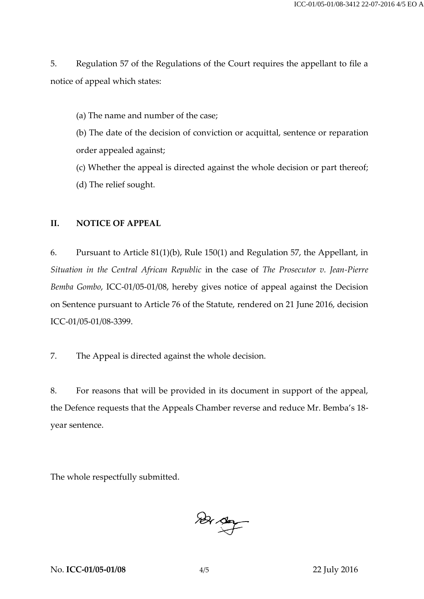5. Regulation 57 of the Regulations of the Court requires the appellant to file a notice of appeal which states:

(a) The name and number of the case;

(b) The date of the decision of conviction or acquittal, sentence or reparation order appealed against;

(c) Whether the appeal is directed against the whole decision or part thereof; (d) The relief sought.

#### **II. NOTICE OF APPEAL**

6. Pursuant to Article 81(1)(b), Rule 150(1) and Regulation 57, the Appellant, in *Situation in the Central African Republic* in the case of *The Prosecutor v. Jean-Pierre Bemba Gombo*, ICC-01/05-01/08, hereby gives notice of appeal against the Decision on Sentence pursuant to Article 76 of the Statute, rendered on 21 June 2016, decision ICC-01/05-01/08-3399.

7. The Appeal is directed against the whole decision.

8. For reasons that will be provided in its document in support of the appeal, the Defence requests that the Appeals Chamber reverse and reduce Mr. Bemba's 18‐ year sentence.

The whole respectfully submitted.

 $\frac{1}{2}$